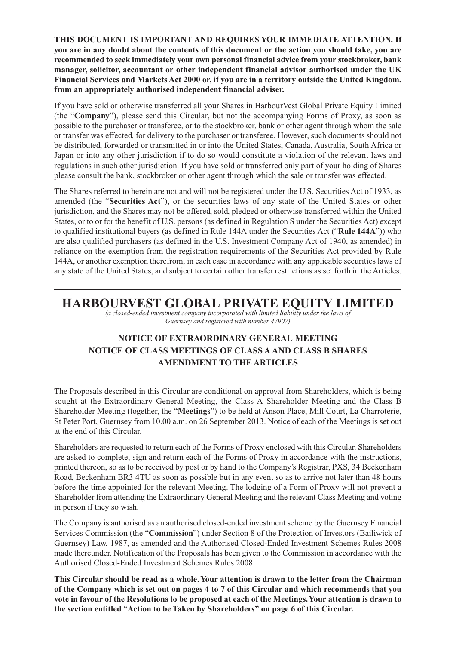**THIS DOCUMENT IS IMPORTANT AND REQUIRES YOUR IMMEDIATE ATTENTION. If you are in any doubt about the contents of this document or the action you should take, you are recommended to seek immediately your own personal financial advice from your stockbroker, bank manager, solicitor, accountant or other independent financial advisor authorised under the UK Financial Services and Markets Act 2000 or, if you are in a territory outside the United Kingdom, from an appropriately authorised independent financial adviser.**

If you have sold or otherwise transferred all your Shares in HarbourVest Global Private Equity Limited (the "**Company**"), please send this Circular, but not the accompanying Forms of Proxy, as soon as possible to the purchaser or transferee, or to the stockbroker, bank or other agent through whom the sale or transfer was effected, for delivery to the purchaser or transferee. However, such documents should not be distributed, forwarded or transmitted in or into the United States, Canada, Australia, South Africa or Japan or into any other jurisdiction if to do so would constitute a violation of the relevant laws and regulations in such other jurisdiction. If you have sold or transferred only part of your holding of Shares please consult the bank, stockbroker or other agent through which the sale or transfer was effected.

The Shares referred to herein are not and will not be registered under the U.S. Securities Act of 1933, as amended (the "**Securities Act**"), or the securities laws of any state of the United States or other jurisdiction, and the Shares may not be offered, sold, pledged or otherwise transferred within the United States, or to or for the benefit of U.S. persons (as defined in Regulation S under the Securities Act) except to qualified institutional buyers (as defined in Rule 144A under the Securities Act ("**Rule 144A**")) who are also qualified purchasers (as defined in the U.S. Investment Company Act of 1940, as amended) in reliance on the exemption from the registration requirements of the Securities Act provided by Rule 144A, or another exemption therefrom, in each case in accordance with any applicable securities laws of any state of the United States, and subject to certain other transfer restrictions as set forth in the Articles.

# **HARBOURVEST GLOBAL PRIVATE EQUITY LIMITED**

*(a closed-ended investment company incorporated with limited liability under the laws of Guernsey and registered with number 47907)*

# **NOTICE OF EXTRAORDINARY GENERAL MEETING NOTICE OF CLASS MEETINGS OF CLASS A AND CLASS B SHARES AMENDMENT TO THE ARTICLES**

The Proposals described in this Circular are conditional on approval from Shareholders, which is being sought at the Extraordinary General Meeting, the Class A Shareholder Meeting and the Class B Shareholder Meeting (together, the "**Meetings**") to be held at Anson Place, Mill Court, La Charroterie, St Peter Port, Guernsey from 10.00 a.m. on 26 September 2013. Notice of each of the Meetings is set out at the end of this Circular.

Shareholders are requested to return each of the Forms of Proxy enclosed with this Circular. Shareholders are asked to complete, sign and return each of the Forms of Proxy in accordance with the instructions, printed thereon, so as to be received by post or by hand to the Company's Registrar, PXS, 34 Beckenham Road, Beckenham BR3 4TU as soon as possible but in any event so as to arrive not later than 48 hours before the time appointed for the relevant Meeting. The lodging of a Form of Proxy will not prevent a Shareholder from attending the Extraordinary General Meeting and the relevant Class Meeting and voting in person if they so wish.

The Company is authorised as an authorised closed-ended investment scheme by the Guernsey Financial Services Commission (the "**Commission**") under Section 8 of the Protection of Investors (Bailiwick of Guernsey) Law, 1987, as amended and the Authorised Closed-Ended Investment Schemes Rules 2008 made thereunder. Notification of the Proposals has been given to the Commission in accordance with the Authorised Closed-Ended Investment Schemes Rules 2008.

**This Circular should be read as a whole. Your attention is drawn to the letter from the Chairman of the Company which is set out on pages 4 to 7 of this Circular and which recommends that you vote in favour of the Resolutions to be proposed at each of the Meetings. Your attention is drawn to the section entitled "Action to be Taken by Shareholders" on page 6 of this Circular.**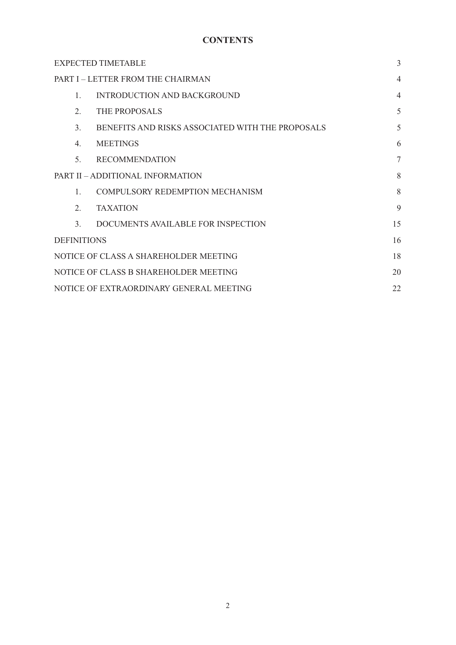# **CONTENTS**

| <b>EXPECTED TIMETABLE</b>                     |                                                  |                |  |
|-----------------------------------------------|--------------------------------------------------|----------------|--|
| PART I - LETTER FROM THE CHAIRMAN             |                                                  |                |  |
| $\mathbf{1}$ .                                | <b>INTRODUCTION AND BACKGROUND</b>               | $\overline{4}$ |  |
| 2.                                            | THE PROPOSALS                                    | 5              |  |
| 3.                                            | BENEFITS AND RISKS ASSOCIATED WITH THE PROPOSALS | 5              |  |
| $4_{\cdot}$                                   | <b>MEETINGS</b>                                  | 6              |  |
| 5.                                            | <b>RECOMMENDATION</b>                            | $\overline{7}$ |  |
| PART II - ADDITIONAL INFORMATION              |                                                  |                |  |
| $\mathbf{1}$ .                                | <b>COMPULSORY REDEMPTION MECHANISM</b>           | 8              |  |
| 2.                                            | <b>TAXATION</b>                                  | 9              |  |
| 3 <sub>1</sub>                                | DOCUMENTS AVAILABLE FOR INSPECTION               | 15             |  |
| <b>DEFINITIONS</b>                            |                                                  |                |  |
| NOTICE OF CLASS A SHAREHOLDER MEETING         |                                                  |                |  |
| NOTICE OF CLASS B SHAREHOLDER MEETING         |                                                  |                |  |
| 22<br>NOTICE OF EXTRAORDINARY GENERAL MEETING |                                                  |                |  |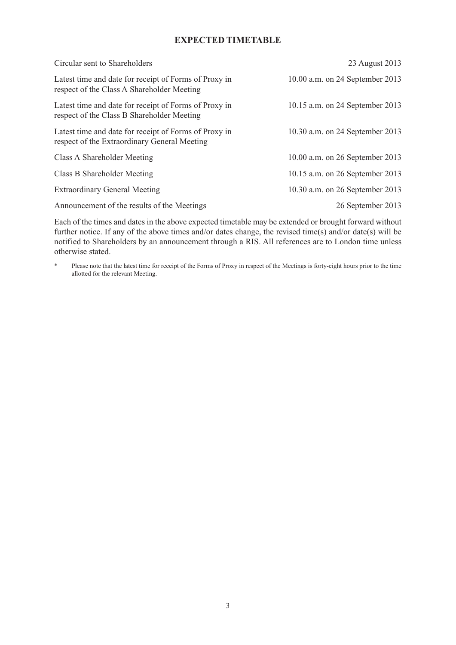# **EXPECTED TIMETABLE**

| Circular sent to Shareholders                                                                         | 23 August 2013                  |
|-------------------------------------------------------------------------------------------------------|---------------------------------|
| Latest time and date for receipt of Forms of Proxy in<br>respect of the Class A Shareholder Meeting   | 10.00 a.m. on 24 September 2013 |
| Latest time and date for receipt of Forms of Proxy in<br>respect of the Class B Shareholder Meeting   | 10.15 a.m. on 24 September 2013 |
| Latest time and date for receipt of Forms of Proxy in<br>respect of the Extraordinary General Meeting | 10.30 a.m. on 24 September 2013 |
| Class A Shareholder Meeting                                                                           | 10.00 a.m. on 26 September 2013 |
| Class B Shareholder Meeting                                                                           | 10.15 a.m. on 26 September 2013 |
| <b>Extraordinary General Meeting</b>                                                                  | 10.30 a.m. on 26 September 2013 |
| Announcement of the results of the Meetings                                                           | 26 September 2013               |

Each of the times and dates in the above expected timetable may be extended or brought forward without further notice. If any of the above times and/or dates change, the revised time(s) and/or date(s) will be notified to Shareholders by an announcement through a RIS. All references are to London time unless otherwise stated.

\* Please note that the latest time for receipt of the Forms of Proxy in respect of the Meetings is forty-eight hours prior to the time allotted for the relevant Meeting.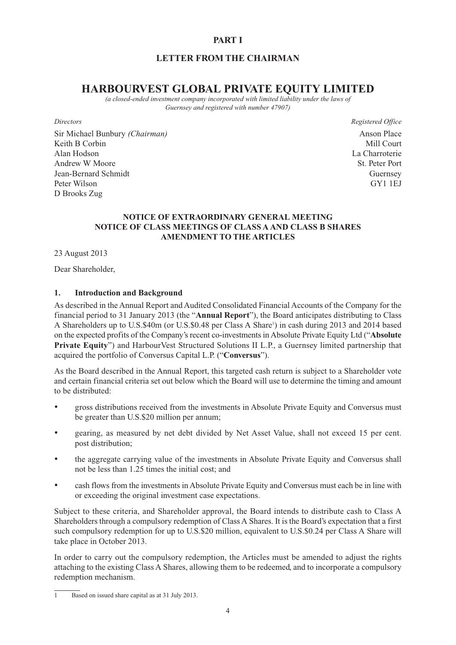# **PART I**

# **LETTER FROM THE CHAIRMAN**

# **HARBOURVEST GLOBAL PRIVATE EQUITY LIMITED**

*(a closed-ended investment company incorporated with limited liability under the laws of Guernsey and registered with number 47907)*

Sir Michael Bunbury *(Chairman)* Anson Place Keith B Corbin Mill Court Alan Hodson La Charroterie Andrew W Moore St. Peter Port Jean-Bernard Schmidt Guernsey Peter Wilson GY1 1EJ D Brooks Zug

*Directors Registered Office*

# **NOTICE OF EXTRAORDINARY GENERAL MEETING NOTICE OF CLASS MEETINGS OF CLASS A AND CLASS B SHARES AMENDMENT TO THE ARTICLES**

23 August 2013

Dear Shareholder,

### **1. Introduction and Background**

As described in the Annual Report and Audited Consolidated Financial Accounts of the Company for the financial period to 31 January 2013 (the "**Annual Report**"), the Board anticipates distributing to Class A Shareholders up to U.S.\$40m (or U.S.\$0.48 per Class A Share<sup>1</sup>) in cash during 2013 and 2014 based on the expected profits of the Company's recent co-investments in Absolute Private Equity Ltd ("**Absolute Private Equity**") and HarbourVest Structured Solutions II L.P., a Guernsey limited partnership that acquired the portfolio of Conversus Capital L.P. ("**Conversus**").

As the Board described in the Annual Report, this targeted cash return is subject to a Shareholder vote and certain financial criteria set out below which the Board will use to determine the timing and amount to be distributed:

- gross distributions received from the investments in Absolute Private Equity and Conversus must be greater than U.S.\$20 million per annum;
- gearing, as measured by net debt divided by Net Asset Value, shall not exceed 15 per cent. post distribution;
- the aggregate carrying value of the investments in Absolute Private Equity and Conversus shall not be less than 1.25 times the initial cost; and
- cash flows from the investments in Absolute Private Equity and Conversus must each be in line with or exceeding the original investment case expectations.

Subject to these criteria, and Shareholder approval, the Board intends to distribute cash to Class A Shareholders through a compulsory redemption of Class A Shares. It is the Board's expectation that a first such compulsory redemption for up to U.S.\$20 million, equivalent to U.S.\$0.24 per Class A Share will take place in October 2013.

In order to carry out the compulsory redemption, the Articles must be amended to adjust the rights attaching to the existing Class A Shares, allowing them to be redeemed, and to incorporate a compulsory redemption mechanism.

<sup>1</sup> Based on issued share capital as at 31 July 2013.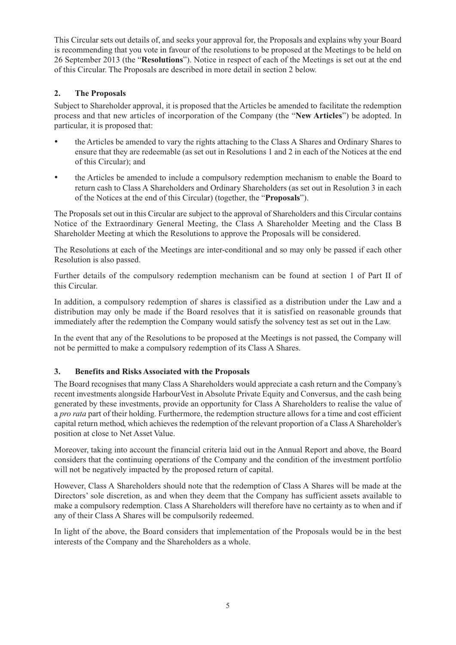This Circular sets out details of, and seeks your approval for, the Proposals and explains why your Board is recommending that you vote in favour of the resolutions to be proposed at the Meetings to be held on 26 September 2013 (the "**Resolutions**"). Notice in respect of each of the Meetings is set out at the end of this Circular. The Proposals are described in more detail in section 2 below.

# **2. The Proposals**

Subject to Shareholder approval, it is proposed that the Articles be amended to facilitate the redemption process and that new articles of incorporation of the Company (the "**New Articles**") be adopted. In particular, it is proposed that:

- the Articles be amended to vary the rights attaching to the Class A Shares and Ordinary Shares to ensure that they are redeemable (as set out in Resolutions 1 and 2 in each of the Notices at the end of this Circular); and
- the Articles be amended to include a compulsory redemption mechanism to enable the Board to return cash to Class A Shareholders and Ordinary Shareholders (as set out in Resolution 3 in each of the Notices at the end of this Circular) (together, the "**Proposals**").

The Proposals set out in this Circular are subject to the approval of Shareholders and this Circular contains Notice of the Extraordinary General Meeting, the Class A Shareholder Meeting and the Class B Shareholder Meeting at which the Resolutions to approve the Proposals will be considered.

The Resolutions at each of the Meetings are inter-conditional and so may only be passed if each other Resolution is also passed.

Further details of the compulsory redemption mechanism can be found at section 1 of Part II of this Circular.

In addition, a compulsory redemption of shares is classified as a distribution under the Law and a distribution may only be made if the Board resolves that it is satisfied on reasonable grounds that immediately after the redemption the Company would satisfy the solvency test as set out in the Law.

In the event that any of the Resolutions to be proposed at the Meetings is not passed, the Company will not be permitted to make a compulsory redemption of its Class A Shares.

# **3. Benefits and Risks Associated with the Proposals**

The Board recognises that many Class A Shareholders would appreciate a cash return and the Company's recent investments alongside HarbourVest in Absolute Private Equity and Conversus, and the cash being generated by these investments, provide an opportunity for Class A Shareholders to realise the value of a *pro rata* part of their holding. Furthermore, the redemption structure allows for a time and cost efficient capital return method, which achieves the redemption of the relevant proportion of a Class A Shareholder's position at close to Net Asset Value.

Moreover, taking into account the financial criteria laid out in the Annual Report and above, the Board considers that the continuing operations of the Company and the condition of the investment portfolio will not be negatively impacted by the proposed return of capital.

However, Class A Shareholders should note that the redemption of Class A Shares will be made at the Directors' sole discretion, as and when they deem that the Company has sufficient assets available to make a compulsory redemption. Class A Shareholders will therefore have no certainty as to when and if any of their Class A Shares will be compulsorily redeemed.

In light of the above, the Board considers that implementation of the Proposals would be in the best interests of the Company and the Shareholders as a whole.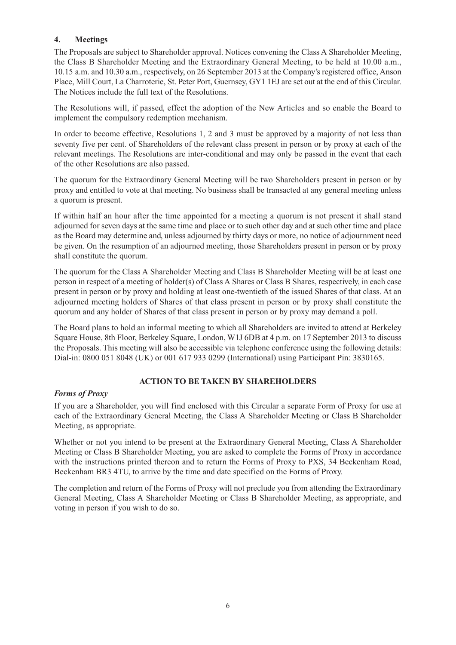# **4. Meetings**

The Proposals are subject to Shareholder approval. Notices convening the Class A Shareholder Meeting, the Class B Shareholder Meeting and the Extraordinary General Meeting, to be held at 10.00 a.m., 10.15 a.m. and 10.30 a.m., respectively, on 26 September 2013 at the Company's registered office, Anson Place, Mill Court, La Charroterie, St. Peter Port, Guernsey, GY1 1EJ are set out at the end of this Circular. The Notices include the full text of the Resolutions.

The Resolutions will, if passed, effect the adoption of the New Articles and so enable the Board to implement the compulsory redemption mechanism.

In order to become effective, Resolutions 1, 2 and 3 must be approved by a majority of not less than seventy five per cent. of Shareholders of the relevant class present in person or by proxy at each of the relevant meetings. The Resolutions are inter-conditional and may only be passed in the event that each of the other Resolutions are also passed.

The quorum for the Extraordinary General Meeting will be two Shareholders present in person or by proxy and entitled to vote at that meeting. No business shall be transacted at any general meeting unless a quorum is present.

If within half an hour after the time appointed for a meeting a quorum is not present it shall stand adjourned for seven days at the same time and place or to such other day and at such other time and place as the Board may determine and, unless adjourned by thirty days or more, no notice of adjournment need be given. On the resumption of an adjourned meeting, those Shareholders present in person or by proxy shall constitute the quorum.

The quorum for the Class A Shareholder Meeting and Class B Shareholder Meeting will be at least one person in respect of a meeting of holder(s) of Class A Shares or Class B Shares, respectively, in each case present in person or by proxy and holding at least one-twentieth of the issued Shares of that class. At an adjourned meeting holders of Shares of that class present in person or by proxy shall constitute the quorum and any holder of Shares of that class present in person or by proxy may demand a poll.

The Board plans to hold an informal meeting to which all Shareholders are invited to attend at Berkeley Square House, 8th Floor, Berkeley Square, London, W1J 6DB at 4 p.m. on 17 September 2013 to discuss the Proposals. This meeting will also be accessible via telephone conference using the following details: Dial-in: 0800 051 8048 (UK) or 001 617 933 0299 (International) using Participant Pin: 3830165.

# **ACTION TO BE TAKEN BY SHAREHOLDERS**

# *Forms of Proxy*

If you are a Shareholder, you will find enclosed with this Circular a separate Form of Proxy for use at each of the Extraordinary General Meeting, the Class A Shareholder Meeting or Class B Shareholder Meeting, as appropriate.

Whether or not you intend to be present at the Extraordinary General Meeting, Class A Shareholder Meeting or Class B Shareholder Meeting, you are asked to complete the Forms of Proxy in accordance with the instructions printed thereon and to return the Forms of Proxy to PXS, 34 Beckenham Road, Beckenham BR3 4TU, to arrive by the time and date specified on the Forms of Proxy.

The completion and return of the Forms of Proxy will not preclude you from attending the Extraordinary General Meeting, Class A Shareholder Meeting or Class B Shareholder Meeting, as appropriate, and voting in person if you wish to do so.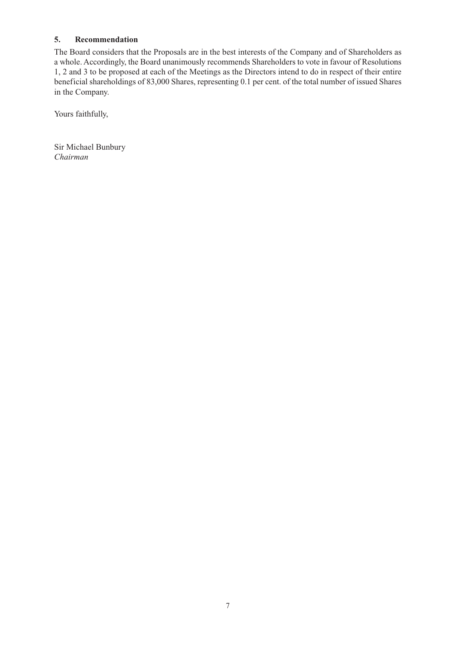# **5. Recommendation**

The Board considers that the Proposals are in the best interests of the Company and of Shareholders as a whole. Accordingly, the Board unanimously recommends Shareholders to vote in favour of Resolutions 1, 2 and 3 to be proposed at each of the Meetings as the Directors intend to do in respect of their entire beneficial shareholdings of 83,000 Shares, representing 0.1 per cent. of the total number of issued Shares in the Company.

Yours faithfully,

Sir Michael Bunbury *Chairman*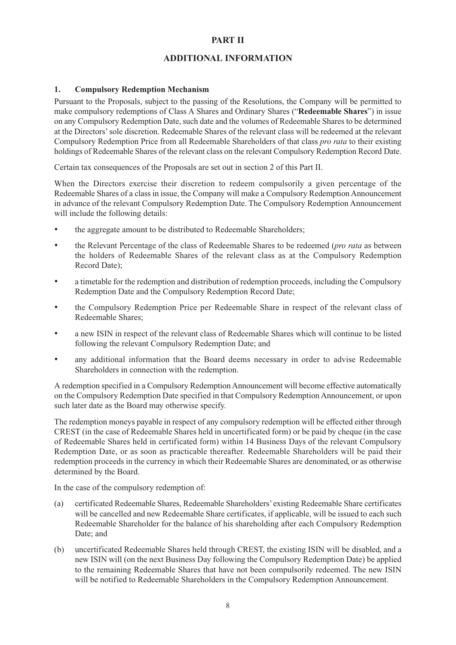# **PART II**

# **ADDITIONAL INFORMATION**

### **1. Compulsory Redemption Mechanism**

Pursuant to the Proposals, subject to the passing of the Resolutions, the Company will be permitted to make compulsory redemptions of Class A Shares and Ordinary Shares ("**Redeemable Shares**") in issue on any Compulsory Redemption Date, such date and the volumes of Redeemable Shares to be determined at the Directors' sole discretion. Redeemable Shares of the relevant class will be redeemed at the relevant Compulsory Redemption Price from all Redeemable Shareholders of that class *pro rata* to their existing holdings of Redeemable Shares of the relevant class on the relevant Compulsory Redemption Record Date.

Certain tax consequences of the Proposals are set out in section 2 of this Part II.

When the Directors exercise their discretion to redeem compulsorily a given percentage of the Redeemable Shares of a class in issue, the Company will make a Compulsory Redemption Announcement in advance of the relevant Compulsory Redemption Date. The Compulsory Redemption Announcement will include the following details:

- the aggregate amount to be distributed to Redeemable Shareholders;
- the Relevant Percentage of the class of Redeemable Shares to be redeemed (*pro rata* as between the holders of Redeemable Shares of the relevant class as at the Compulsory Redemption Record Date);
- a timetable for the redemption and distribution of redemption proceeds, including the Compulsory Redemption Date and the Compulsory Redemption Record Date;
- the Compulsory Redemption Price per Redeemable Share in respect of the relevant class of Redeemable Shares;
- a new ISIN in respect of the relevant class of Redeemable Shares which will continue to be listed following the relevant Compulsory Redemption Date; and
- any additional information that the Board deems necessary in order to advise Redeemable Shareholders in connection with the redemption.

A redemption specified in a Compulsory Redemption Announcement will become effective automatically on the Compulsory Redemption Date specified in that Compulsory Redemption Announcement, or upon such later date as the Board may otherwise specify.

The redemption moneys payable in respect of any compulsory redemption will be effected either through CREST (in the case of Redeemable Shares held in uncertificated form) or be paid by cheque (in the case of Redeemable Shares held in certificated form) within 14 Business Days of the relevant Compulsory Redemption Date, or as soon as practicable thereafter. Redeemable Shareholders will be paid their redemption proceeds in the currency in which their Redeemable Shares are denominated, or as otherwise determined by the Board.

In the case of the compulsory redemption of:

- (a) certificated Redeemable Shares, Redeemable Shareholders' existing Redeemable Share certificates will be cancelled and new Redeemable Share certificates, if applicable, will be issued to each such Redeemable Shareholder for the balance of his shareholding after each Compulsory Redemption Date; and
- (b) uncertificated Redeemable Shares held through CREST, the existing ISIN will be disabled, and a new ISIN will (on the next Business Day following the Compulsory Redemption Date) be applied to the remaining Redeemable Shares that have not been compulsorily redeemed. The new ISIN will be notified to Redeemable Shareholders in the Compulsory Redemption Announcement.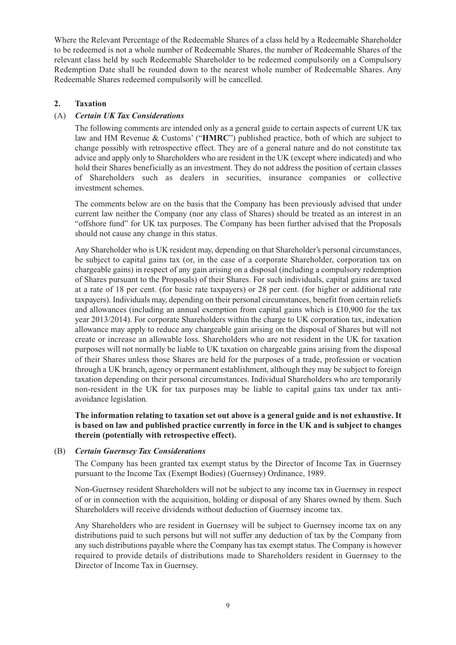Where the Relevant Percentage of the Redeemable Shares of a class held by a Redeemable Shareholder to be redeemed is not a whole number of Redeemable Shares, the number of Redeemable Shares of the relevant class held by such Redeemable Shareholder to be redeemed compulsorily on a Compulsory Redemption Date shall be rounded down to the nearest whole number of Redeemable Shares. Any Redeemable Shares redeemed compulsorily will be cancelled.

# **2. Taxation**

# (A) *Certain UK Tax Considerations*

The following comments are intended only as a general guide to certain aspects of current UK tax law and HM Revenue & Customs' ("**HMRC**") published practice, both of which are subject to change possibly with retrospective effect. They are of a general nature and do not constitute tax advice and apply only to Shareholders who are resident in the UK (except where indicated) and who hold their Shares beneficially as an investment. They do not address the position of certain classes of Shareholders such as dealers in securities, insurance companies or collective investment schemes.

The comments below are on the basis that the Company has been previously advised that under current law neither the Company (nor any class of Shares) should be treated as an interest in an "offshore fund" for UK tax purposes. The Company has been further advised that the Proposals should not cause any change in this status.

Any Shareholder who is UK resident may, depending on that Shareholder's personal circumstances, be subject to capital gains tax (or, in the case of a corporate Shareholder, corporation tax on chargeable gains) in respect of any gain arising on a disposal (including a compulsory redemption of Shares pursuant to the Proposals) of their Shares. For such individuals, capital gains are taxed at a rate of 18 per cent. (for basic rate taxpayers) or 28 per cent. (for higher or additional rate taxpayers). Individuals may, depending on their personal circumstances, benefit from certain reliefs and allowances (including an annual exemption from capital gains which is  $\pounds 10,900$  for the tax year 2013/2014). For corporate Shareholders within the charge to UK corporation tax, indexation allowance may apply to reduce any chargeable gain arising on the disposal of Shares but will not create or increase an allowable loss. Shareholders who are not resident in the UK for taxation purposes will not normally be liable to UK taxation on chargeable gains arising from the disposal of their Shares unless those Shares are held for the purposes of a trade, profession or vocation through a UK branch, agency or permanent establishment, although they may be subject to foreign taxation depending on their personal circumstances. Individual Shareholders who are temporarily non-resident in the UK for tax purposes may be liable to capital gains tax under tax antiavoidance legislation.

**The information relating to taxation set out above is a general guide and is not exhaustive. It is based on law and published practice currently in force in the UK and is subject to changes therein (potentially with retrospective effect).**

### (B) *Certain Guernsey Tax Considerations*

The Company has been granted tax exempt status by the Director of Income Tax in Guernsey pursuant to the Income Tax (Exempt Bodies) (Guernsey) Ordinance, 1989.

Non-Guernsey resident Shareholders will not be subject to any income tax in Guernsey in respect of or in connection with the acquisition, holding or disposal of any Shares owned by them. Such Shareholders will receive dividends without deduction of Guernsey income tax.

Any Shareholders who are resident in Guernsey will be subject to Guernsey income tax on any distributions paid to such persons but will not suffer any deduction of tax by the Company from any such distributions payable where the Company has tax exempt status. The Company is however required to provide details of distributions made to Shareholders resident in Guernsey to the Director of Income Tax in Guernsey.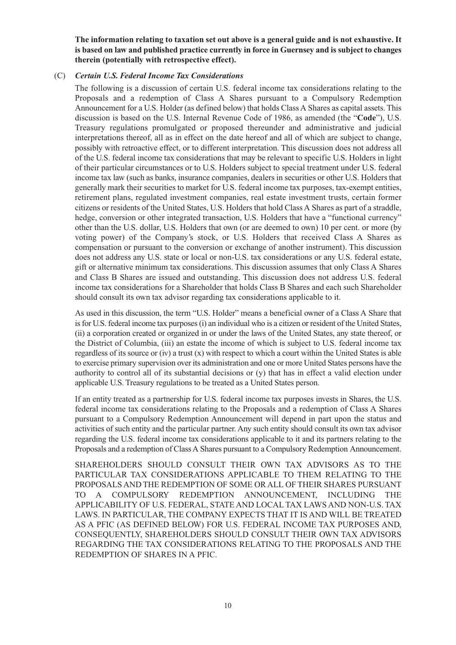**The information relating to taxation set out above is a general guide and is not exhaustive. It is based on law and published practice currently in force in Guernsey and is subject to changes therein (potentially with retrospective effect).**

## (C) *Certain U.S. Federal Income Tax Considerations*

The following is a discussion of certain U.S. federal income tax considerations relating to the Proposals and a redemption of Class A Shares pursuant to a Compulsory Redemption Announcement for a U.S. Holder (as defined below) that holds Class A Shares as capital assets. This discussion is based on the U.S. Internal Revenue Code of 1986, as amended (the "**Code**"), U.S. Treasury regulations promulgated or proposed thereunder and administrative and judicial interpretations thereof, all as in effect on the date hereof and all of which are subject to change, possibly with retroactive effect, or to different interpretation. This discussion does not address all of the U.S. federal income tax considerations that may be relevant to specific U.S. Holders in light of their particular circumstances or to U.S. Holders subject to special treatment under U.S. federal income tax law (such as banks, insurance companies, dealers in securities or other U.S. Holders that generally mark their securities to market for U.S. federal income tax purposes, tax-exempt entities, retirement plans, regulated investment companies, real estate investment trusts, certain former citizens or residents of the United States, U.S. Holders that hold Class A Shares as part of a straddle, hedge, conversion or other integrated transaction, U.S. Holders that have a "functional currency" other than the U.S. dollar, U.S. Holders that own (or are deemed to own) 10 per cent. or more (by voting power) of the Company's stock, or U.S. Holders that received Class A Shares as compensation or pursuant to the conversion or exchange of another instrument). This discussion does not address any U.S. state or local or non-U.S. tax considerations or any U.S. federal estate, gift or alternative minimum tax considerations. This discussion assumes that only Class A Shares and Class B Shares are issued and outstanding. This discussion does not address U.S. federal income tax considerations for a Shareholder that holds Class B Shares and each such Shareholder should consult its own tax advisor regarding tax considerations applicable to it.

As used in this discussion, the term "U.S. Holder" means a beneficial owner of a Class A Share that is for U.S. federal income tax purposes (i) an individual who is a citizen or resident of the United States, (ii) a corporation created or organized in or under the laws of the United States, any state thereof, or the District of Columbia, (iii) an estate the income of which is subject to U.S. federal income tax regardless of its source or (iv) a trust (x) with respect to which a court within the United States is able to exercise primary supervision over its administration and one or more United States persons have the authority to control all of its substantial decisions or (y) that has in effect a valid election under applicable U.S. Treasury regulations to be treated as a United States person.

If an entity treated as a partnership for U.S. federal income tax purposes invests in Shares, the U.S. federal income tax considerations relating to the Proposals and a redemption of Class A Shares pursuant to a Compulsory Redemption Announcement will depend in part upon the status and activities of such entity and the particular partner. Any such entity should consult its own tax advisor regarding the U.S. federal income tax considerations applicable to it and its partners relating to the Proposals and a redemption of Class A Shares pursuant to a Compulsory Redemption Announcement.

SHAREHOLDERS SHOULD CONSULT THEIR OWN TAX ADVISORS AS TO THE PARTICULAR TAX CONSIDERATIONS APPLICABLE TO THEM RELATING TO THE PROPOSALS AND THE REDEMPTION OF SOME OR ALL OF THEIR SHARES PURSUANT TO A COMPULSORY REDEMPTION ANNOUNCEMENT, INCLUDING THE APPLICABILITY OF U.S. FEDERAL, STATE AND LOCAL TAX LAWS AND NON-U.S. TAX LAWS. IN PARTICULAR, THE COMPANY EXPECTS THAT IT IS AND WILL BE TREATED AS A PFIC (AS DEFINED BELOW) FOR U.S. FEDERAL INCOME TAX PURPOSES AND, CONSEQUENTLY, SHAREHOLDERS SHOULD CONSULT THEIR OWN TAX ADVISORS REGARDING THE TAX CONSIDERATIONS RELATING TO THE PROPOSALS AND THE REDEMPTION OF SHARES IN A PFIC.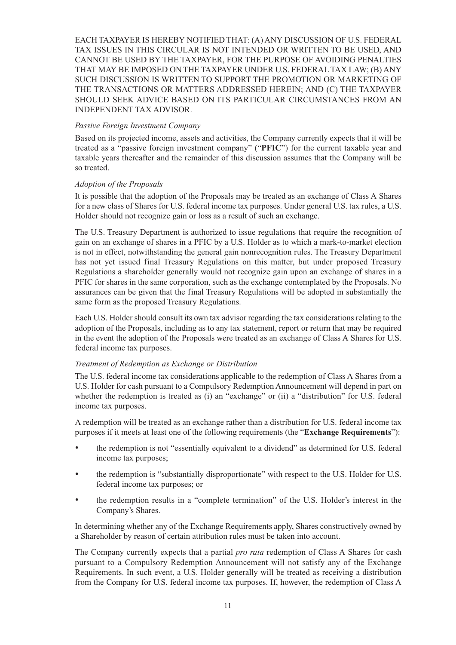EACH TAXPAYER IS HEREBY NOTIFIED THAT: (A) ANY DISCUSSION OF U.S. FEDERAL TAX ISSUES IN THIS CIRCULAR IS NOT INTENDED OR WRITTEN TO BE USED, AND CANNOT BE USED BY THE TAXPAYER, FOR THE PURPOSE OF AVOIDING PENALTIES THAT MAY BE IMPOSED ON THE TAXPAYER UNDER U.S. FEDERAL TAX LAW; (B) ANY SUCH DISCUSSION IS WRITTEN TO SUPPORT THE PROMOTION OR MARKETING OF THE TRANSACTIONS OR MATTERS ADDRESSED HEREIN; AND (C) THE TAXPAYER SHOULD SEEK ADVICE BASED ON ITS PARTICULAR CIRCUMSTANCES FROM AN INDEPENDENT TAX ADVISOR.

### *Passive Foreign Investment Company*

Based on its projected income, assets and activities, the Company currently expects that it will be treated as a "passive foreign investment company" ("**PFIC**") for the current taxable year and taxable years thereafter and the remainder of this discussion assumes that the Company will be so treated.

### *Adoption of the Proposals*

It is possible that the adoption of the Proposals may be treated as an exchange of Class A Shares for a new class of Shares for U.S. federal income tax purposes. Under general U.S. tax rules, a U.S. Holder should not recognize gain or loss as a result of such an exchange.

The U.S. Treasury Department is authorized to issue regulations that require the recognition of gain on an exchange of shares in a PFIC by a U.S. Holder as to which a mark-to-market election is not in effect, notwithstanding the general gain nonrecognition rules. The Treasury Department has not yet issued final Treasury Regulations on this matter, but under proposed Treasury Regulations a shareholder generally would not recognize gain upon an exchange of shares in a PFIC for shares in the same corporation, such as the exchange contemplated by the Proposals. No assurances can be given that the final Treasury Regulations will be adopted in substantially the same form as the proposed Treasury Regulations.

Each U.S. Holder should consult its own tax advisor regarding the tax considerations relating to the adoption of the Proposals, including as to any tax statement, report or return that may be required in the event the adoption of the Proposals were treated as an exchange of Class A Shares for U.S. federal income tax purposes.

### *Treatment of Redemption as Exchange or Distribution*

The U.S. federal income tax considerations applicable to the redemption of Class A Shares from a U.S. Holder for cash pursuant to a Compulsory Redemption Announcement will depend in part on whether the redemption is treated as (i) an "exchange" or (ii) a "distribution" for U.S. federal income tax purposes.

A redemption will be treated as an exchange rather than a distribution for U.S. federal income tax purposes if it meets at least one of the following requirements (the "**Exchange Requirements**"):

- the redemption is not "essentially equivalent to a dividend" as determined for U.S. federal income tax purposes;
- the redemption is "substantially disproportionate" with respect to the U.S. Holder for U.S. federal income tax purposes; or
- the redemption results in a "complete termination" of the U.S. Holder's interest in the Company's Shares.

In determining whether any of the Exchange Requirements apply, Shares constructively owned by a Shareholder by reason of certain attribution rules must be taken into account.

The Company currently expects that a partial *pro rata* redemption of Class A Shares for cash pursuant to a Compulsory Redemption Announcement will not satisfy any of the Exchange Requirements. In such event, a U.S. Holder generally will be treated as receiving a distribution from the Company for U.S. federal income tax purposes. If, however, the redemption of Class A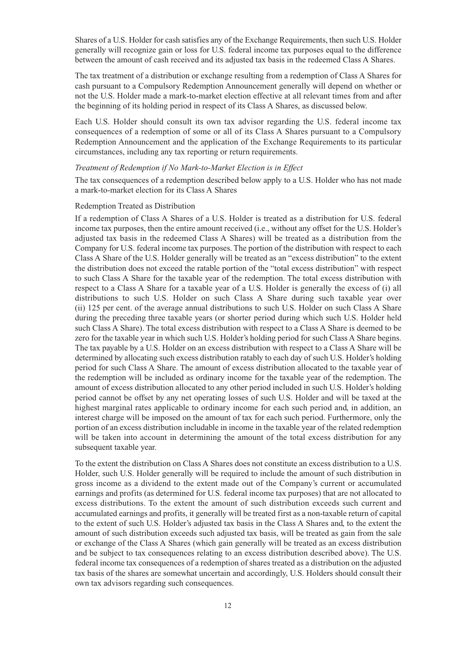Shares of a U.S. Holder for cash satisfies any of the Exchange Requirements, then such U.S. Holder generally will recognize gain or loss for U.S. federal income tax purposes equal to the difference between the amount of cash received and its adjusted tax basis in the redeemed Class A Shares.

The tax treatment of a distribution or exchange resulting from a redemption of Class A Shares for cash pursuant to a Compulsory Redemption Announcement generally will depend on whether or not the U.S. Holder made a mark-to-market election effective at all relevant times from and after the beginning of its holding period in respect of its Class A Shares, as discussed below.

Each U.S. Holder should consult its own tax advisor regarding the U.S. federal income tax consequences of a redemption of some or all of its Class A Shares pursuant to a Compulsory Redemption Announcement and the application of the Exchange Requirements to its particular circumstances, including any tax reporting or return requirements.

#### *Treatment of Redemption if No Mark-to-Market Election is in Effect*

The tax consequences of a redemption described below apply to a U.S. Holder who has not made a mark-to-market election for its Class A Shares

#### Redemption Treated as Distribution

If a redemption of Class A Shares of a U.S. Holder is treated as a distribution for U.S. federal income tax purposes, then the entire amount received (i.e., without any offset for the U.S. Holder's adjusted tax basis in the redeemed Class A Shares) will be treated as a distribution from the Company for U.S. federal income tax purposes. The portion of the distribution with respect to each Class A Share of the U.S. Holder generally will be treated as an "excess distribution" to the extent the distribution does not exceed the ratable portion of the "total excess distribution" with respect to such Class A Share for the taxable year of the redemption. The total excess distribution with respect to a Class A Share for a taxable year of a U.S. Holder is generally the excess of (i) all distributions to such U.S. Holder on such Class A Share during such taxable year over (ii) 125 per cent. of the average annual distributions to such U.S. Holder on such Class A Share during the preceding three taxable years (or shorter period during which such U.S. Holder held such Class A Share). The total excess distribution with respect to a Class A Share is deemed to be zero for the taxable year in which such U.S. Holder's holding period for such Class A Share begins. The tax payable by a U.S. Holder on an excess distribution with respect to a Class A Share will be determined by allocating such excess distribution ratably to each day of such U.S. Holder's holding period for such Class A Share. The amount of excess distribution allocated to the taxable year of the redemption will be included as ordinary income for the taxable year of the redemption. The amount of excess distribution allocated to any other period included in such U.S. Holder's holding period cannot be offset by any net operating losses of such U.S. Holder and will be taxed at the highest marginal rates applicable to ordinary income for each such period and, in addition, an interest charge will be imposed on the amount of tax for each such period. Furthermore, only the portion of an excess distribution includable in income in the taxable year of the related redemption will be taken into account in determining the amount of the total excess distribution for any subsequent taxable year.

To the extent the distribution on Class A Shares does not constitute an excess distribution to a U.S. Holder, such U.S. Holder generally will be required to include the amount of such distribution in gross income as a dividend to the extent made out of the Company's current or accumulated earnings and profits (as determined for U.S. federal income tax purposes) that are not allocated to excess distributions. To the extent the amount of such distribution exceeds such current and accumulated earnings and profits, it generally will be treated first as a non-taxable return of capital to the extent of such U.S. Holder's adjusted tax basis in the Class A Shares and, to the extent the amount of such distribution exceeds such adjusted tax basis, will be treated as gain from the sale or exchange of the Class A Shares (which gain generally will be treated as an excess distribution and be subject to tax consequences relating to an excess distribution described above). The U.S. federal income tax consequences of a redemption of shares treated as a distribution on the adjusted tax basis of the shares are somewhat uncertain and accordingly, U.S. Holders should consult their own tax advisors regarding such consequences.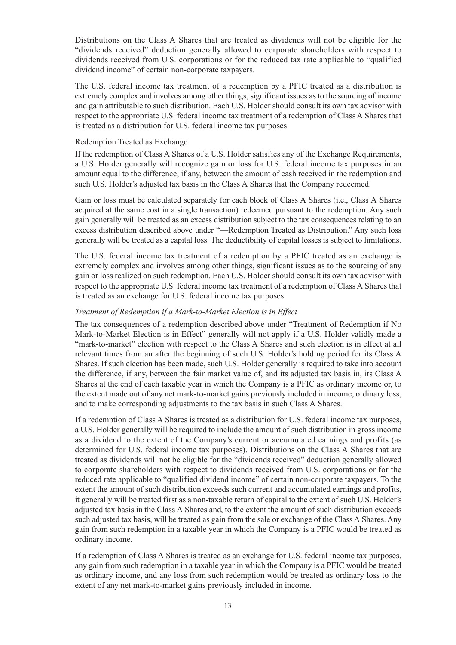Distributions on the Class A Shares that are treated as dividends will not be eligible for the "dividends received" deduction generally allowed to corporate shareholders with respect to dividends received from U.S. corporations or for the reduced tax rate applicable to "qualified dividend income" of certain non-corporate taxpayers.

The U.S. federal income tax treatment of a redemption by a PFIC treated as a distribution is extremely complex and involves among other things, significant issues as to the sourcing of income and gain attributable to such distribution. Each U.S. Holder should consult its own tax advisor with respect to the appropriate U.S. federal income tax treatment of a redemption of Class A Shares that is treated as a distribution for U.S. federal income tax purposes.

### Redemption Treated as Exchange

If the redemption of Class A Shares of a U.S. Holder satisfies any of the Exchange Requirements, a U.S. Holder generally will recognize gain or loss for U.S. federal income tax purposes in an amount equal to the difference, if any, between the amount of cash received in the redemption and such U.S. Holder's adjusted tax basis in the Class A Shares that the Company redeemed.

Gain or loss must be calculated separately for each block of Class A Shares (i.e., Class A Shares acquired at the same cost in a single transaction) redeemed pursuant to the redemption. Any such gain generally will be treated as an excess distribution subject to the tax consequences relating to an excess distribution described above under "—Redemption Treated as Distribution." Any such loss generally will be treated as a capital loss. The deductibility of capital losses is subject to limitations.

The U.S. federal income tax treatment of a redemption by a PFIC treated as an exchange is extremely complex and involves among other things, significant issues as to the sourcing of any gain or loss realized on such redemption. Each U.S. Holder should consult its own tax advisor with respect to the appropriate U.S. federal income tax treatment of a redemption of Class A Shares that is treated as an exchange for U.S. federal income tax purposes.

### *Treatment of Redemption if a Mark-to-Market Election is in Effect*

The tax consequences of a redemption described above under "Treatment of Redemption if No Mark-to-Market Election is in Effect" generally will not apply if a U.S. Holder validly made a "mark-to-market" election with respect to the Class A Shares and such election is in effect at all relevant times from an after the beginning of such U.S. Holder's holding period for its Class A Shares. If such election has been made, such U.S. Holder generally is required to take into account the difference, if any, between the fair market value of, and its adjusted tax basis in, its Class A Shares at the end of each taxable year in which the Company is a PFIC as ordinary income or, to the extent made out of any net mark-to-market gains previously included in income, ordinary loss, and to make corresponding adjustments to the tax basis in such Class A Shares.

If a redemption of Class A Shares is treated as a distribution for U.S. federal income tax purposes, a U.S. Holder generally will be required to include the amount of such distribution in gross income as a dividend to the extent of the Company's current or accumulated earnings and profits (as determined for U.S. federal income tax purposes). Distributions on the Class A Shares that are treated as dividends will not be eligible for the "dividends received" deduction generally allowed to corporate shareholders with respect to dividends received from U.S. corporations or for the reduced rate applicable to "qualified dividend income" of certain non-corporate taxpayers. To the extent the amount of such distribution exceeds such current and accumulated earnings and profits, it generally will be treated first as a non-taxable return of capital to the extent of such U.S. Holder's adjusted tax basis in the Class A Shares and, to the extent the amount of such distribution exceeds such adjusted tax basis, will be treated as gain from the sale or exchange of the Class A Shares. Any gain from such redemption in a taxable year in which the Company is a PFIC would be treated as ordinary income.

If a redemption of Class A Shares is treated as an exchange for U.S. federal income tax purposes, any gain from such redemption in a taxable year in which the Company is a PFIC would be treated as ordinary income, and any loss from such redemption would be treated as ordinary loss to the extent of any net mark-to-market gains previously included in income.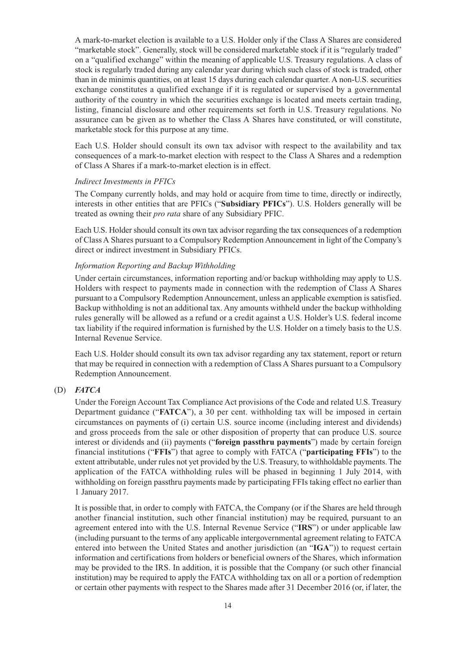A mark-to-market election is available to a U.S. Holder only if the Class A Shares are considered "marketable stock". Generally, stock will be considered marketable stock if it is "regularly traded" on a "qualified exchange" within the meaning of applicable U.S. Treasury regulations. A class of stock is regularly traded during any calendar year during which such class of stock is traded, other than in de minimis quantities, on at least 15 days during each calendar quarter. A non-U.S. securities exchange constitutes a qualified exchange if it is regulated or supervised by a governmental authority of the country in which the securities exchange is located and meets certain trading, listing, financial disclosure and other requirements set forth in U.S. Treasury regulations. No assurance can be given as to whether the Class A Shares have constituted, or will constitute, marketable stock for this purpose at any time.

Each U.S. Holder should consult its own tax advisor with respect to the availability and tax consequences of a mark-to-market election with respect to the Class A Shares and a redemption of Class A Shares if a mark-to-market election is in effect.

### *Indirect Investments in PFICs*

The Company currently holds, and may hold or acquire from time to time, directly or indirectly, interests in other entities that are PFICs ("**Subsidiary PFICs**"). U.S. Holders generally will be treated as owning their *pro rata* share of any Subsidiary PFIC.

Each U.S. Holder should consult its own tax advisor regarding the tax consequences of a redemption of Class A Shares pursuant to a Compulsory Redemption Announcement in light of the Company's direct or indirect investment in Subsidiary PFICs.

### *Information Reporting and Backup Withholding*

Under certain circumstances, information reporting and/or backup withholding may apply to U.S. Holders with respect to payments made in connection with the redemption of Class A Shares pursuant to a Compulsory Redemption Announcement, unless an applicable exemption is satisfied. Backup withholding is not an additional tax. Any amounts withheld under the backup withholding rules generally will be allowed as a refund or a credit against a U.S. Holder's U.S. federal income tax liability if the required information is furnished by the U.S. Holder on a timely basis to the U.S. Internal Revenue Service.

Each U.S. Holder should consult its own tax advisor regarding any tax statement, report or return that may be required in connection with a redemption of Class A Shares pursuant to a Compulsory Redemption Announcement.

### (D) *FATCA*

Under the Foreign Account Tax Compliance Act provisions of the Code and related U.S. Treasury Department guidance ("**FATCA**"), a 30 per cent. withholding tax will be imposed in certain circumstances on payments of (i) certain U.S. source income (including interest and dividends) and gross proceeds from the sale or other disposition of property that can produce U.S. source interest or dividends and (ii) payments ("**foreign passthru payments**") made by certain foreign financial institutions ("**FFIs**") that agree to comply with FATCA ("**participating FFIs**") to the extent attributable, under rules not yet provided by the U.S. Treasury, to withholdable payments. The application of the FATCA withholding rules will be phased in beginning 1 July 2014, with withholding on foreign passthru payments made by participating FFIs taking effect no earlier than 1 January 2017.

It is possible that, in order to comply with FATCA, the Company (or if the Shares are held through another financial institution, such other financial institution) may be required, pursuant to an agreement entered into with the U.S. Internal Revenue Service ("**IRS**") or under applicable law (including pursuant to the terms of any applicable intergovernmental agreement relating to FATCA entered into between the United States and another jurisdiction (an "**IGA**")) to request certain information and certifications from holders or beneficial owners of the Shares, which information may be provided to the IRS. In addition, it is possible that the Company (or such other financial institution) may be required to apply the FATCA withholding tax on all or a portion of redemption or certain other payments with respect to the Shares made after 31 December 2016 (or, if later, the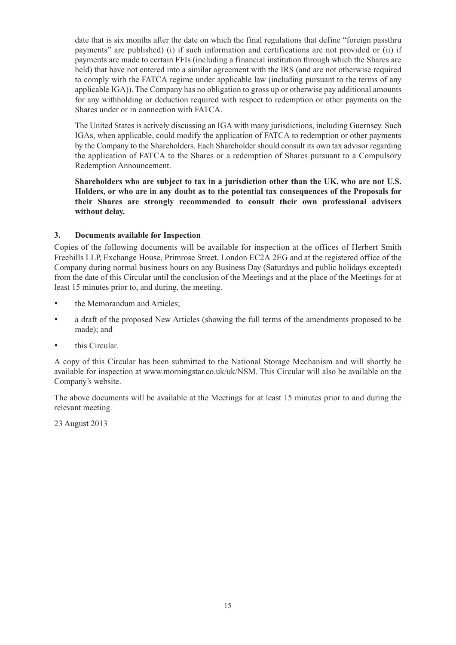date that is six months after the date on which the final regulations that define "foreign passthru payments" are published) (i) if such information and certifications are not provided or (ii) if payments are made to certain FFIs (including a financial institution through which the Shares are held) that have not entered into a similar agreement with the IRS (and are not otherwise required to comply with the FATCA regime under applicable law (including pursuant to the terms of any applicable IGA)). The Company has no obligation to gross up or otherwise pay additional amounts for any withholding or deduction required with respect to redemption or other payments on the Shares under or in connection with FATCA.

The United States is actively discussing an IGA with many jurisdictions, including Guernsey. Such IGAs, when applicable, could modify the application of FATCA to redemption or other payments by the Company to the Shareholders. Each Shareholder should consult its own tax advisor regarding the application of FATCA to the Shares or a redemption of Shares pursuant to a Compulsory Redemption Announcement.

**Shareholders who are subject to tax in a jurisdiction other than the UK, who are not U.S. Holders, or who are in any doubt as to the potential tax consequences of the Proposals for their Shares are strongly recommended to consult their own professional advisers without delay.**

# **3. Documents available for Inspection**

Copies of the following documents will be available for inspection at the offices of Herbert Smith Freehills LLP, Exchange House, Primrose Street, London EC2A 2EG and at the registered office of the Company during normal business hours on any Business Day (Saturdays and public holidays excepted) from the date of this Circular until the conclusion of the Meetings and at the place of the Meetings for at least 15 minutes prior to, and during, the meeting.

- the Memorandum and Articles;
- a draft of the proposed New Articles (showing the full terms of the amendments proposed to be made); and
- this Circular.

A copy of this Circular has been submitted to the National Storage Mechanism and will shortly be available for inspection at www.morningstar.co.uk/uk/NSM. This Circular will also be available on the Company's website.

The above documents will be available at the Meetings for at least 15 minutes prior to and during the relevant meeting.

23 August 2013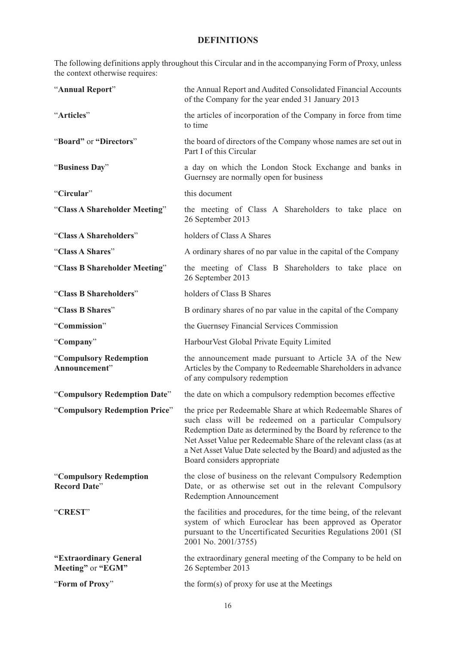# **DEFINITIONS**

The following definitions apply throughout this Circular and in the accompanying Form of Proxy, unless the context otherwise requires:

| "Annual Report"                               | the Annual Report and Audited Consolidated Financial Accounts<br>of the Company for the year ended 31 January 2013                                                                                                                                                                                                                                                |
|-----------------------------------------------|-------------------------------------------------------------------------------------------------------------------------------------------------------------------------------------------------------------------------------------------------------------------------------------------------------------------------------------------------------------------|
| "Articles"                                    | the articles of incorporation of the Company in force from time<br>to time                                                                                                                                                                                                                                                                                        |
| "Board" or "Directors"                        | the board of directors of the Company whose names are set out in<br>Part I of this Circular                                                                                                                                                                                                                                                                       |
| "Business Day"                                | a day on which the London Stock Exchange and banks in<br>Guernsey are normally open for business                                                                                                                                                                                                                                                                  |
| "Circular"                                    | this document                                                                                                                                                                                                                                                                                                                                                     |
| "Class A Shareholder Meeting"                 | the meeting of Class A Shareholders to take place on<br>26 September 2013                                                                                                                                                                                                                                                                                         |
| "Class A Shareholders"                        | holders of Class A Shares                                                                                                                                                                                                                                                                                                                                         |
| "Class A Shares"                              | A ordinary shares of no par value in the capital of the Company                                                                                                                                                                                                                                                                                                   |
| "Class B Shareholder Meeting"                 | the meeting of Class B Shareholders to take place on<br>26 September 2013                                                                                                                                                                                                                                                                                         |
| "Class B Shareholders"                        | holders of Class B Shares                                                                                                                                                                                                                                                                                                                                         |
| "Class B Shares"                              | B ordinary shares of no par value in the capital of the Company                                                                                                                                                                                                                                                                                                   |
| "Commission"                                  | the Guernsey Financial Services Commission                                                                                                                                                                                                                                                                                                                        |
| "Company"                                     | Harbour Vest Global Private Equity Limited                                                                                                                                                                                                                                                                                                                        |
| "Compulsory Redemption<br>Announcement"       | the announcement made pursuant to Article 3A of the New<br>Articles by the Company to Redeemable Shareholders in advance<br>of any compulsory redemption                                                                                                                                                                                                          |
| "Compulsory Redemption Date"                  | the date on which a compulsory redemption becomes effective                                                                                                                                                                                                                                                                                                       |
| "Compulsory Redemption Price"                 | the price per Redeemable Share at which Redeemable Shares of<br>such class will be redeemed on a particular Compulsory<br>Redemption Date as determined by the Board by reference to the<br>Net Asset Value per Redeemable Share of the relevant class (as at<br>a Net Asset Value Date selected by the Board) and adjusted as the<br>Board considers appropriate |
| "Compulsory Redemption<br><b>Record Date"</b> | the close of business on the relevant Compulsory Redemption<br>Date, or as otherwise set out in the relevant Compulsory<br><b>Redemption Announcement</b>                                                                                                                                                                                                         |
| "CREST"                                       | the facilities and procedures, for the time being, of the relevant<br>system of which Euroclear has been approved as Operator<br>pursuant to the Uncertificated Securities Regulations 2001 (SI<br>2001 No. 2001/3755)                                                                                                                                            |
| "Extraordinary General<br>Meeting" or "EGM"   | the extraordinary general meeting of the Company to be held on<br>26 September 2013                                                                                                                                                                                                                                                                               |
| "Form of Proxy"                               | the form(s) of proxy for use at the Meetings                                                                                                                                                                                                                                                                                                                      |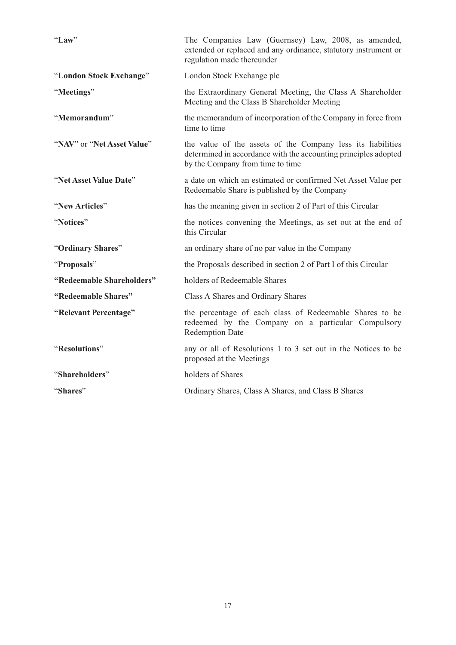| "Law"                      | The Companies Law (Guernsey) Law, 2008, as amended,<br>extended or replaced and any ordinance, statutory instrument or<br>regulation made thereunder               |
|----------------------------|--------------------------------------------------------------------------------------------------------------------------------------------------------------------|
| "London Stock Exchange"    | London Stock Exchange plc                                                                                                                                          |
| "Meetings"                 | the Extraordinary General Meeting, the Class A Shareholder<br>Meeting and the Class B Shareholder Meeting                                                          |
| "Memorandum"               | the memorandum of incorporation of the Company in force from<br>time to time                                                                                       |
| "NAV" or "Net Asset Value" | the value of the assets of the Company less its liabilities<br>determined in accordance with the accounting principles adopted<br>by the Company from time to time |
| "Net Asset Value Date"     | a date on which an estimated or confirmed Net Asset Value per<br>Redeemable Share is published by the Company                                                      |
| "New Articles"             | has the meaning given in section 2 of Part of this Circular                                                                                                        |
| "Notices"                  | the notices convening the Meetings, as set out at the end of<br>this Circular                                                                                      |
| "Ordinary Shares"          | an ordinary share of no par value in the Company                                                                                                                   |
| "Proposals"                | the Proposals described in section 2 of Part I of this Circular                                                                                                    |
| "Redeemable Shareholders"  | holders of Redeemable Shares                                                                                                                                       |
| "Redeemable Shares"        | Class A Shares and Ordinary Shares                                                                                                                                 |
| "Relevant Percentage"      | the percentage of each class of Redeemable Shares to be<br>redeemed by the Company on a particular Compulsory<br><b>Redemption Date</b>                            |
| "Resolutions"              | any or all of Resolutions 1 to 3 set out in the Notices to be<br>proposed at the Meetings                                                                          |
| "Shareholders"             | holders of Shares                                                                                                                                                  |
| "Shares"                   | Ordinary Shares, Class A Shares, and Class B Shares                                                                                                                |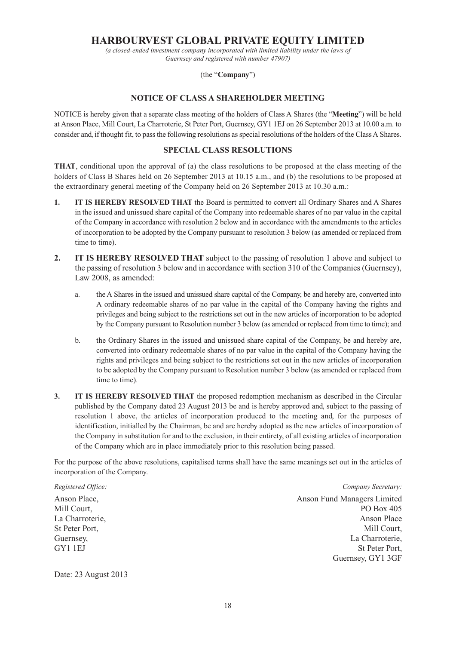# **HARBOURVEST GLOBAL PRIVATE EQUITY LIMITED**

*(a closed-ended investment company incorporated with limited liability under the laws of Guernsey and registered with number 47907)*

(the "**Company**")

## **NOTICE OF CLASS A SHAREHOLDER MEETING**

NOTICE is hereby given that a separate class meeting of the holders of Class A Shares (the "**Meeting**") will be held at Anson Place, Mill Court, La Charroterie, St Peter Port, Guernsey, GY1 1EJ on 26 September 2013 at 10.00 a.m. to consider and, if thought fit, to pass the following resolutions as special resolutions of the holders of the Class A Shares.

# **SPECIAL CLASS RESOLUTIONS**

**THAT**, conditional upon the approval of (a) the class resolutions to be proposed at the class meeting of the holders of Class B Shares held on 26 September 2013 at 10.15 a.m., and (b) the resolutions to be proposed at the extraordinary general meeting of the Company held on 26 September 2013 at 10.30 a.m.:

- **1.** IT IS HEREBY RESOLVED THAT the Board is permitted to convert all Ordinary Shares and A Shares in the issued and unissued share capital of the Company into redeemable shares of no par value in the capital of the Company in accordance with resolution 2 below and in accordance with the amendments to the articles of incorporation to be adopted by the Company pursuant to resolution 3 below (as amended or replaced from time to time).
- **2. IT IS HEREBY RESOLVED THAT** subject to the passing of resolution 1 above and subject to the passing of resolution 3 below and in accordance with section 310 of the Companies (Guernsey), Law 2008, as amended:
	- a. the A Shares in the issued and unissued share capital of the Company, be and hereby are, converted into A ordinary redeemable shares of no par value in the capital of the Company having the rights and privileges and being subject to the restrictions set out in the new articles of incorporation to be adopted by the Company pursuant to Resolution number 3 below (as amended or replaced from time to time); and
	- b. the Ordinary Shares in the issued and unissued share capital of the Company, be and hereby are, converted into ordinary redeemable shares of no par value in the capital of the Company having the rights and privileges and being subject to the restrictions set out in the new articles of incorporation to be adopted by the Company pursuant to Resolution number 3 below (as amended or replaced from time to time).
- **3. IT IS HEREBY RESOLVED THAT** the proposed redemption mechanism as described in the Circular published by the Company dated 23 August 2013 be and is hereby approved and, subject to the passing of resolution 1 above, the articles of incorporation produced to the meeting and, for the purposes of identification, initialled by the Chairman, be and are hereby adopted as the new articles of incorporation of the Company in substitution for and to the exclusion, in their entirety, of all existing articles of incorporation of the Company which are in place immediately prior to this resolution being passed.

For the purpose of the above resolutions, capitalised terms shall have the same meanings set out in the articles of incorporation of the Company.

*Registered Office: Company Secretary:*

Anson Place, Anson Fund Managers Limited Mill Court, PO Box 405 La Charroterie, and a characterie, and a characterie control of the Anson Place Anson Place St Peter Port, Mill Court, Guernsey, La Charroterie, GY1 1EJ St Peter Port, Guernsey, GY1 3GF

Date: 23 August 2013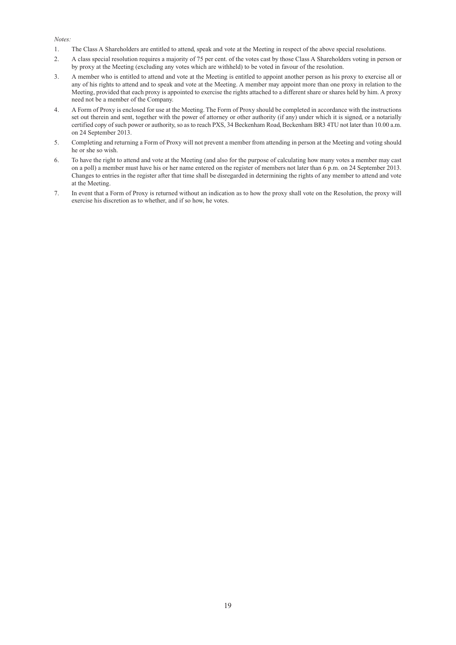#### *Notes:*

- 1. The Class A Shareholders are entitled to attend, speak and vote at the Meeting in respect of the above special resolutions.
- 2. A class special resolution requires a majority of 75 per cent. of the votes cast by those Class A Shareholders voting in person or by proxy at the Meeting (excluding any votes which are withheld) to be voted in favour of the resolution.
- 3. A member who is entitled to attend and vote at the Meeting is entitled to appoint another person as his proxy to exercise all or any of his rights to attend and to speak and vote at the Meeting. A member may appoint more than one proxy in relation to the Meeting, provided that each proxy is appointed to exercise the rights attached to a different share or shares held by him. A proxy need not be a member of the Company.
- 4. A Form of Proxy is enclosed for use at the Meeting. The Form of Proxy should be completed in accordance with the instructions set out therein and sent, together with the power of attorney or other authority (if any) under which it is signed, or a notarially certified copy of such power or authority, so as to reach PXS, 34 Beckenham Road, Beckenham BR3 4TU not later than 10.00 a.m. on 24 September 2013.
- 5. Completing and returning a Form of Proxy will not prevent a member from attending in person at the Meeting and voting should he or she so wish.
- 6. To have the right to attend and vote at the Meeting (and also for the purpose of calculating how many votes a member may cast on a poll) a member must have his or her name entered on the register of members not later than 6 p.m. on 24 September 2013. Changes to entries in the register after that time shall be disregarded in determining the rights of any member to attend and vote at the Meeting.
- 7. In event that a Form of Proxy is returned without an indication as to how the proxy shall vote on the Resolution, the proxy will exercise his discretion as to whether, and if so how, he votes.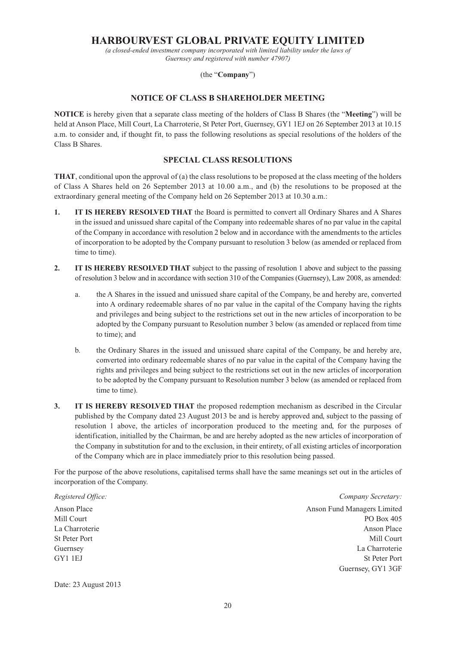# **HARBOURVEST GLOBAL PRIVATE EQUITY LIMITED**

*(a closed-ended investment company incorporated with limited liability under the laws of Guernsey and registered with number 47907)*

### (the "**Company**")

### **NOTICE OF CLASS B SHAREHOLDER MEETING**

**NOTICE** is hereby given that a separate class meeting of the holders of Class B Shares (the "**Meeting**") will be held at Anson Place, Mill Court, La Charroterie, St Peter Port, Guernsey, GY1 1EJ on 26 September 2013 at 10.15 a.m. to consider and, if thought fit, to pass the following resolutions as special resolutions of the holders of the Class B Shares.

## **SPECIAL CLASS RESOLUTIONS**

**THAT**, conditional upon the approval of (a) the class resolutions to be proposed at the class meeting of the holders of Class A Shares held on 26 September 2013 at 10.00 a.m., and (b) the resolutions to be proposed at the extraordinary general meeting of the Company held on 26 September 2013 at 10.30 a.m.:

- **1.** IT IS HEREBY RESOLVED THAT the Board is permitted to convert all Ordinary Shares and A Shares in the issued and unissued share capital of the Company into redeemable shares of no par value in the capital of the Company in accordance with resolution 2 below and in accordance with the amendments to the articles of incorporation to be adopted by the Company pursuant to resolution 3 below (as amended or replaced from time to time).
- **2. IT IS HEREBY RESOLVED THAT** subject to the passing of resolution 1 above and subject to the passing of resolution 3 below and in accordance with section 310 of the Companies (Guernsey), Law 2008, as amended:
	- a. the A Shares in the issued and unissued share capital of the Company, be and hereby are, converted into A ordinary redeemable shares of no par value in the capital of the Company having the rights and privileges and being subject to the restrictions set out in the new articles of incorporation to be adopted by the Company pursuant to Resolution number 3 below (as amended or replaced from time to time); and
	- b. the Ordinary Shares in the issued and unissued share capital of the Company, be and hereby are, converted into ordinary redeemable shares of no par value in the capital of the Company having the rights and privileges and being subject to the restrictions set out in the new articles of incorporation to be adopted by the Company pursuant to Resolution number 3 below (as amended or replaced from time to time).
- **3. IT IS HEREBY RESOLVED THAT** the proposed redemption mechanism as described in the Circular published by the Company dated 23 August 2013 be and is hereby approved and, subject to the passing of resolution 1 above, the articles of incorporation produced to the meeting and, for the purposes of identification, initialled by the Chairman, be and are hereby adopted as the new articles of incorporation of the Company in substitution for and to the exclusion, in their entirety, of all existing articles of incorporation of the Company which are in place immediately prior to this resolution being passed.

For the purpose of the above resolutions, capitalised terms shall have the same meanings set out in the articles of incorporation of the Company.

*Registered Office: Company Secretary:* Anson Place Anson Place Anson Fund Managers Limited Mill Court **PO Box 405** La Charroterie Anson Place Anson Place St Peter Port Mill Court and St Peter Port Mill Court and St Peter Port Mill Court and St Peter Port and St Peter Port and St Peter Port and St Peter Port and St Peter Port and St Peter Port and St Peter Port and St Peter Guernsey La Charroterie GY1 1EJ St Peter Port Guernsey, GY1 3GF

Date: 23 August 2013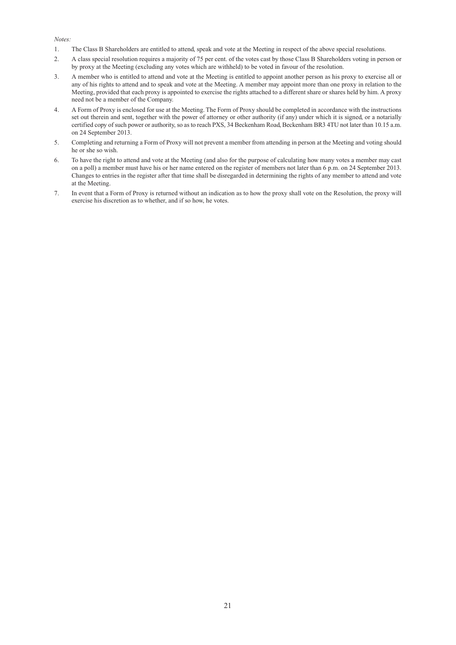#### *Notes:*

- 1. The Class B Shareholders are entitled to attend, speak and vote at the Meeting in respect of the above special resolutions.
- 2. A class special resolution requires a majority of 75 per cent. of the votes cast by those Class B Shareholders voting in person or by proxy at the Meeting (excluding any votes which are withheld) to be voted in favour of the resolution.
- 3. A member who is entitled to attend and vote at the Meeting is entitled to appoint another person as his proxy to exercise all or any of his rights to attend and to speak and vote at the Meeting. A member may appoint more than one proxy in relation to the Meeting, provided that each proxy is appointed to exercise the rights attached to a different share or shares held by him. A proxy need not be a member of the Company.
- 4. A Form of Proxy is enclosed for use at the Meeting. The Form of Proxy should be completed in accordance with the instructions set out therein and sent, together with the power of attorney or other authority (if any) under which it is signed, or a notarially certified copy of such power or authority, so as to reach PXS, 34 Beckenham Road, Beckenham BR3 4TU not later than 10.15 a.m. on 24 September 2013.
- 5. Completing and returning a Form of Proxy will not prevent a member from attending in person at the Meeting and voting should he or she so wish.
- 6. To have the right to attend and vote at the Meeting (and also for the purpose of calculating how many votes a member may cast on a poll) a member must have his or her name entered on the register of members not later than 6 p.m. on 24 September 2013. Changes to entries in the register after that time shall be disregarded in determining the rights of any member to attend and vote at the Meeting.
- 7. In event that a Form of Proxy is returned without an indication as to how the proxy shall vote on the Resolution, the proxy will exercise his discretion as to whether, and if so how, he votes.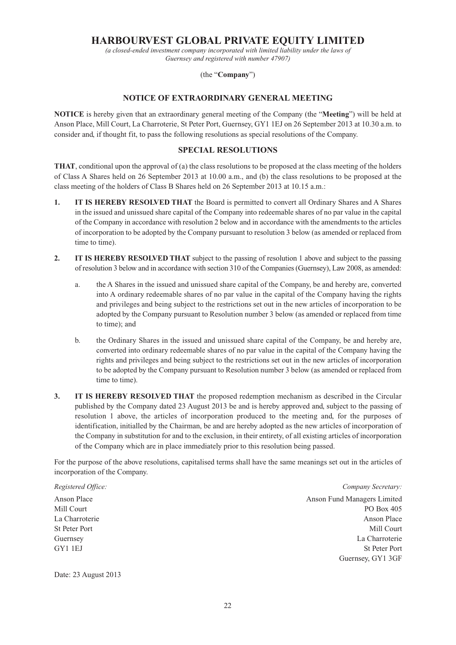# **HARBOURVEST GLOBAL PRIVATE EQUITY LIMITED**

*(a closed-ended investment company incorporated with limited liability under the laws of Guernsey and registered with number 47907)*

(the "**Company**")

### **NOTICE OF EXTRAORDINARY GENERAL MEETING**

**NOTICE** is hereby given that an extraordinary general meeting of the Company (the "**Meeting**") will be held at Anson Place, Mill Court, La Charroterie, St Peter Port, Guernsey, GY1 1EJ on 26 September 2013 at 10.30 a.m. to consider and, if thought fit, to pass the following resolutions as special resolutions of the Company.

## **SPECIAL RESOLUTIONS**

**THAT**, conditional upon the approval of (a) the class resolutions to be proposed at the class meeting of the holders of Class A Shares held on 26 September 2013 at 10.00 a.m., and (b) the class resolutions to be proposed at the class meeting of the holders of Class B Shares held on 26 September 2013 at 10.15 a.m.:

- **1.** IT IS HEREBY RESOLVED THAT the Board is permitted to convert all Ordinary Shares and A Shares in the issued and unissued share capital of the Company into redeemable shares of no par value in the capital of the Company in accordance with resolution 2 below and in accordance with the amendments to the articles of incorporation to be adopted by the Company pursuant to resolution 3 below (as amended or replaced from time to time).
- **2. IT IS HEREBY RESOLVED THAT** subject to the passing of resolution 1 above and subject to the passing of resolution 3 below and in accordance with section 310 of the Companies (Guernsey), Law 2008, as amended:
	- a. the A Shares in the issued and unissued share capital of the Company, be and hereby are, converted into A ordinary redeemable shares of no par value in the capital of the Company having the rights and privileges and being subject to the restrictions set out in the new articles of incorporation to be adopted by the Company pursuant to Resolution number 3 below (as amended or replaced from time to time); and
	- b. the Ordinary Shares in the issued and unissued share capital of the Company, be and hereby are, converted into ordinary redeemable shares of no par value in the capital of the Company having the rights and privileges and being subject to the restrictions set out in the new articles of incorporation to be adopted by the Company pursuant to Resolution number 3 below (as amended or replaced from time to time).
- **3. IT IS HEREBY RESOLVED THAT** the proposed redemption mechanism as described in the Circular published by the Company dated 23 August 2013 be and is hereby approved and, subject to the passing of resolution 1 above, the articles of incorporation produced to the meeting and, for the purposes of identification, initialled by the Chairman, be and are hereby adopted as the new articles of incorporation of the Company in substitution for and to the exclusion, in their entirety, of all existing articles of incorporation of the Company which are in place immediately prior to this resolution being passed.

For the purpose of the above resolutions, capitalised terms shall have the same meanings set out in the articles of incorporation of the Company.

*Registered Office: Company Secretary:*

Anson Place **Anson Place** Anson Fund Managers Limited Mill Court **PO Box 405** La Charroterie **Anson Place** Anson Place St Peter Port Mill Court and the St Peter Port Mill Court and the Mill Court of the Mill Court of the Mill Court Guernsey La Charroterie GY1 1EJ St Peter Port Guernsey, GY1 3GF

Date: 23 August 2013